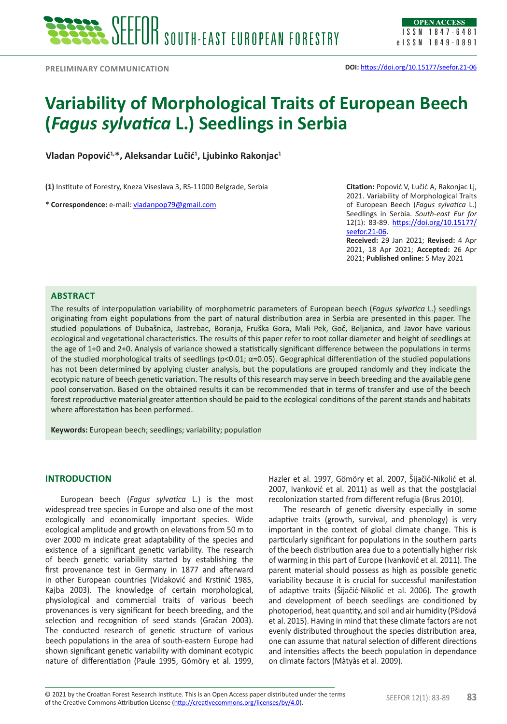# **Variability of Morphological Traits of European Beech (***Fagus sylvatica* **L.) Seedlings in Serbia**

**Vladan Popović1,\*, Aleksandar Lučić<sup>1</sup> , Ljubinko Rakonjac1**

**(1)** Institute of Forestry, Kneza Viseslava 3, RS-11000 Belgrade, Serbia

**\* Correspondence:** e-mail: [vladanpop79@gmail.com](mailto:vladanpop79@gmail.com)

**Citation:** Popović V, Lučić A, Rakonjac Lj, 2021. Variability of Morphological Traits of European Beech (*Fagus sylvatica* L.) Seedlings in Serbia. *South-east Eur for* 12(1): 83-89. [https://doi.org/10.15177/](https://doi.org/10.15177/seefor.21-06) [seefor.21-06.](https://doi.org/10.15177/seefor.21-06)

**Received:** 29 Jan 2021; **Revised:** 4 Apr 2021, 18 Apr 2021; **Accepted:** 26 Apr 2021; **Published online:** 5 May 2021

### **ABSTRACT**

The results of interpopulation variability of morphometric parameters of European beech (*Fagus sylvatica* L.) seedlings originating from eight populations from the part of natural distribution area in Serbia are presented in this paper. The studied populations of Dubašnica, Jastrebac, Boranja, Fruška Gora, Mali Pek, Goč, Beljanica, and Javor have various ecological and vegetational characteristics. The results of this paper refer to root collar diameter and height of seedlings at the age of 1+0 and 2+0. Analysis of variance showed a statistically significant difference between the populations in terms of the studied morphological traits of seedlings (p<0.01; α=0.05). Geographical differentiation of the studied populations has not been determined by applying cluster analysis, but the populations are grouped randomly and they indicate the ecotypic nature of beech genetic variation. The results of this research may serve in beech breeding and the available gene pool conservation. Based on the obtained results it can be recommended that in terms of transfer and use of the beech forest reproductive material greater attention should be paid to the ecological conditions of the parent stands and habitats where afforestation has been performed.

**Keywords:** European beech; seedlings; variability; population

## **INTRODUCTION**

European beech (*Fagus sylvatica* L.) is the most widespread tree species in Europe and also one of the most ecologically and economically important species. Wide ecological amplitude and growth on elevations from 50 m to over 2000 m indicate great adaptability of the species and existence of a significant genetic variability. The research of beech genetic variability started by establishing the first provenance test in Germany in 1877 and afterward in other European countries (Vidaković and Krstinić 1985, Kajba 2003). The knowledge of certain morphological, physiological and commercial traits of various beech provenances is very significant for beech breeding, and the selection and recognition of seed stands (Gračan 2003). The conducted research of genetic structure of various beech populations in the area of south-eastern Europe had shown significant genetic variability with dominant ecotypic nature of differentiation (Paule 1995, Gömöry et al. 1999,

Hazler et al. 1997, Gömöry et al. 2007, Šijačić-Nikolić et al. 2007, Ivanković et al. 2011) as well as that the postglacial recolonization started from different refugia (Brus 2010).

The research of genetic diversity especially in some adaptive traits (growth, survival, and phenology) is very important in the context of global climate change. This is particularly significant for populations in the southern parts of the beech distribution area due to a potentially higher risk of warming in this part of Europe (Ivanković et al. 2011). The parent material should possess as high as possible genetic variability because it is crucial for successful manifestation of adaptive traits (Šijačić-Nikolić et al. 2006). The growth and development of beech seedlings are conditioned by photoperiod, heat quantity, and soil and air humidity (Pšidová et al. 2015). Having in mind that these climate factors are not evenly distributed throughout the species distribution area, one can assume that natural selection of different directions and intensities affects the beech population in dependance on climate factors (Màtyàs et al. 2009).

© 2021 by the Croatian Forest Research Institute. This is an Open Access paper distributed under the terms<br>of the Creative Commons Attribution License (<u><http://creativecommons.org/licenses/by/4.0></u>). © 2021 by the Croatian Forest Research Institute. This is an Open Access paper distributed under the terms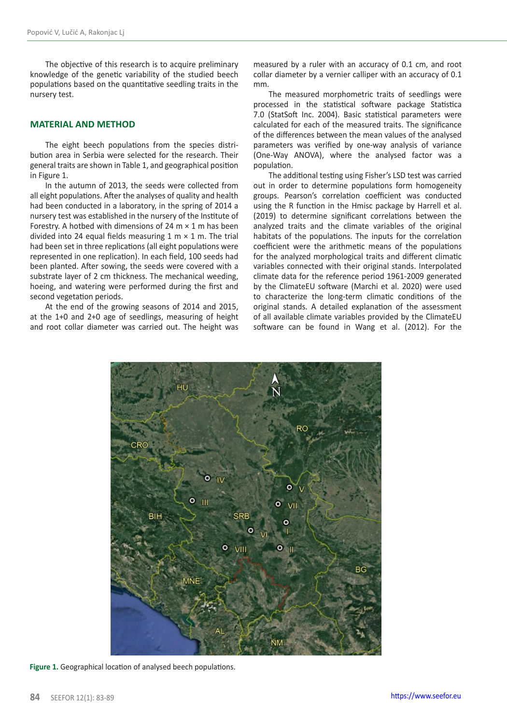The objective of this research is to acquire preliminary knowledge of the genetic variability of the studied beech populations based on the quantitative seedling traits in the nursery test.

## **MATERIAL AND METHOD**

The eight beech populations from the species distribution area in Serbia were selected for the research. Their general traits are shown in Table 1, and geographical position in Figure 1.

In the autumn of 2013, the seeds were collected from all eight populations. After the analyses of quality and health had been conducted in a laboratory, in the spring of 2014 a nursery test was established in the nursery of the Institute of Forestry. A hotbed with dimensions of 24  $m \times 1$  m has been divided into 24 equal fields measuring  $1 \text{ m} \times 1 \text{ m}$ . The trial had been set in three replications (all eight populations were represented in one replication). In each field, 100 seeds had been planted. After sowing, the seeds were covered with a substrate layer of 2 cm thickness. The mechanical weeding, hoeing, and watering were performed during the first and second vegetation periods.

At the end of the growing seasons of 2014 and 2015, at the 1+0 and 2+0 age of seedlings, measuring of height and root collar diameter was carried out. The height was measured by a ruler with an accuracy of 0.1 cm, and root collar diameter by a vernier calliper with an accuracy of 0.1 mm.

The measured morphometric traits of seedlings were processed in the statistical software package Statistica 7.0 (StatSoft Inc. 2004). Basic statistical parameters were calculated for each of the measured traits. The significance of the differences between the mean values of the analysed parameters was verified by one-way analysis of variance (One-Way ANOVA), where the analysed factor was a population.

The additional testing using Fisher's LSD test was carried out in order to determine populations form homogeneity groups. Pearson's correlation coefficient was conducted using the R function in the Hmisc package by Harrell et al. (2019) to determine significant correlations between the analyzed traits and the climate variables of the original habitats of the populations. The inputs for the correlation coefficient were the arithmetic means of the populations for the analyzed morphological traits and different climatic variables connected with their original stands. Interpolated climate data for the reference period 1961-2009 generated by the ClimateEU software (Marchi et al. 2020) were used to characterize the long-term climatic conditions of the original stands. A detailed explanation of the assessment of all available climate variables provided by the ClimateEU software can be found in Wang et al. (2012). For the



**Figure 1.** Geographical location of analysed beech populations.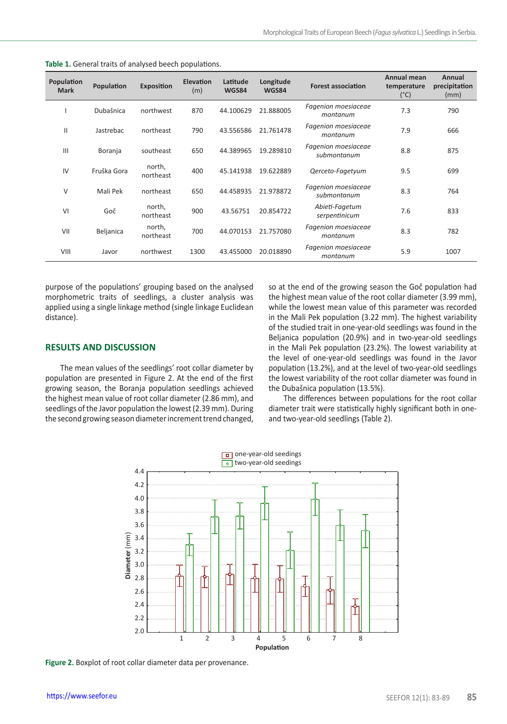| Population<br><b>Mark</b> | Population  | <b>Exposition</b>   | Elevation<br>(m) | Latitude<br><b>WGS84</b> | Longitude<br><b>WGS84</b> | <b>Forest association</b>          | Annual mean<br>temperature<br>$(^{\circ}C)$ | Annual<br>precipitation<br>(mm) |
|---------------------------|-------------|---------------------|------------------|--------------------------|---------------------------|------------------------------------|---------------------------------------------|---------------------------------|
|                           | Dubašnica   | northwest           | 870              | 44.100629                | 21.888005                 | Fagenion moesiaceae<br>montanum    | 7.3                                         | 790                             |
| $\mathbf{I}$              | Jastrebac   | northeast           | 790              | 43.556586                | 21.761478                 | Fagenion moesiaceae<br>montanum    | 7.9                                         | 666                             |
| $\mathbf{III}$            | Boranja     | southeast           | 650              | 44.389965                | 19.289810                 | Fagenion moesiaceae<br>submontanum | 8.8                                         | 875                             |
| IV                        | Fruška Gora | north,<br>northeast | 400              | 45.141938                | 19.622889                 | Qerceto-Fagetyum                   | 9.5                                         | 699                             |
| V                         | Mali Pek    | northeast           | 650              | 44.458935                | 21.978872                 | Fagenion moesiaceae<br>submontanum | 8.3                                         | 764                             |
| VI                        | Goč         | north,<br>northeast | 900              | 43.56751                 | 20.854722                 | Abieti-Fagetum<br>serpentinicum    | 7.6                                         | 833                             |
| VII                       | Beljanica   | north,<br>northeast | 700              | 44.070153                | 21.757080                 | Fagenion moesiaceae<br>montanum    | 8.3                                         | 782                             |
| VIII                      | Javor       | northwest           | 1300             | 43.455000                | 20.018890                 | Fagenion moesiaceae<br>montanum    | 5.9                                         | 1007                            |

**Table 1.** General traits of analysed beech populations.

purpose of the populations' grouping based on the analysed morphometric traits of seedlings, a cluster analysis was applied using a single linkage method (single linkage Euclidean distance).

# so at the end of the growing season the Goč population had the highest mean value of the root collar diameter (3.99 mm), while the lowest mean value of this parameter was recorded in the Mali Pek population (3.22 mm). The highest variability of the studied trait in one-year-old seedlings was found in the Beljanica population (20.9%) and in two-year-old seedlings in the Mali Pek population (23.2%). The lowest variability at the level of one-year-old seedlings was found in the Javor population (13.2%), and at the level of two-year-old seedlings the lowest variability of the root collar diameter was found in the Dubašnica population (13.5%).

#### **RESULTS AND DISCUSSION**

The mean values of the seedlings' root collar diameter by population are presented in Figure 2. At the end of the first growing season, the Boranja population seedlings achieved the highest mean value of root collar diameter (2.86 mm), and seedlings of the Javor population the lowest (2.39 mm). During the second growing season diameter increment trend changed,

The differences between populations for the root collar diameter trait were statistically highly significant both in oneand two-year-old seedlings (Table 2).



**Figure 2.** Boxplot of root collar diameter data per provenance.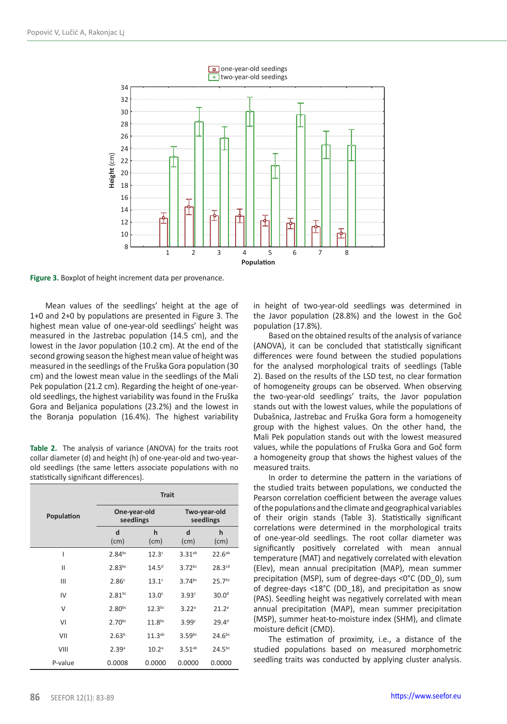

**Figure 3.** Boxplot of height increment data per provenance.

Mean values of the seedlings' height at the age of 1+0 and 2+0 by populations are presented in Figure 3. The highest mean value of one-year-old seedlings' height was measured in the Jastrebac population (14.5 cm), and the lowest in the Javor population (10.2 cm). At the end of the second growing season the highest mean value of height was measured in the seedlings of the Fruška Gora population (30 cm) and the lowest mean value in the seedlings of the Mali Pek population (21.2 cm). Regarding the height of one-yearold seedlings, the highest variability was found in the Fruška Gora and Beljanica populations (23.2%) and the lowest in the Boranja population (16.4%). The highest variability

| <b>Table 2.</b> The analysis of variance (ANOVA) for the traits root |
|----------------------------------------------------------------------|
| collar diameter (d) and height (h) of one-year-old and two-year-     |
| old seedlings (the same letters associate populations with no        |
| statistically significant differences).                              |

|            | <b>Trait</b>              |                    |                           |                    |  |  |
|------------|---------------------------|--------------------|---------------------------|--------------------|--|--|
| Population | One-year-old<br>seedlings |                    | Two-year-old<br>seedlings |                    |  |  |
|            | d<br>(cm)                 | h<br>(cm)          | d<br>(cm)                 | h<br>(cm)          |  |  |
| I          | $2.84^{bc}$               | 12.3 <sup>c</sup>  | $3.31^{ab}$               | $22.6^{ab}$        |  |  |
| Ш          | $2.83^{bc}$               | 14.5 <sup>d</sup>  | $3.72^{bc}$               | 28.3 <sup>cd</sup> |  |  |
| Ш          | 2.86c                     | 13.1 <sup>c</sup>  | $3.74^{bc}$               | 25.7 <sup>bc</sup> |  |  |
| IV         | $2.81^{bc}$               | 13.0 <sup>c</sup>  | 3.93c                     | 30.0 <sup>d</sup>  |  |  |
| V          | $2.80^{bc}$               | $12.3^{bc}$        | 3.22a                     | 21.2a              |  |  |
| VI         | $2.70^{bc}$               | 11.8 <sup>bc</sup> | 3.99c                     | 29.4 <sup>d</sup>  |  |  |
| VII        | 2.63 <sup>b</sup>         | $11.3^{ab}$        | 3.59 <sup>bc</sup>        | $24.6^{bc}$        |  |  |
| VIII       | 2.39a                     | 10.2 <sup>a</sup>  | $3.51^{ab}$               | 24.5 <sup>bc</sup> |  |  |
| P-value    | 0.0008                    | 0.0000             | 0.0000                    | 0.0000             |  |  |

in height of two-year-old seedlings was determined in the Javor population (28.8%) and the lowest in the Goč population (17.8%).

Based on the obtained results of the analysis of variance (ANOVA), it can be concluded that statistically significant differences were found between the studied populations for the analysed morphological traits of seedlings (Table 2). Based on the results of the LSD test, no clear formation of homogeneity groups can be observed. When observing the two-year-old seedlings' traits, the Javor population stands out with the lowest values, while the populations of Dubašnica, Jastrebac and Fruška Gora form a homogeneity group with the highest values. On the other hand, the Mali Pek population stands out with the lowest measured values, while the populations of Fruška Gora and Goč form a homogeneity group that shows the highest values of the measured traits.

In order to determine the pattern in the variations of the studied traits between populations, we conducted the Pearson correlation coefficient between the average values of the populations and the climate and geographical variables of their origin stands (Table 3). Statistically significant correlations were determined in the morphological traits of one-year-old seedlings. The root collar diameter was significantly positively correlated with mean annual temperature (MAT) and negatively correlated with elevation (Elev), mean annual precipitation (MAP), mean summer precipitation (MSP), sum of degree-days <0°C (DD\_0), sum of degree-days <18°C (DD\_18), and precipitation as snow (PAS). Seedling height was negatively correlated with mean annual precipitation (MAP), mean summer precipitation (MSP), summer heat-to-moisture index (SHM), and climate moisture deficit (CMD).

The estimation of proximity, i.e., a distance of the studied populations based on measured morphometric seedling traits was conducted by applying cluster analysis.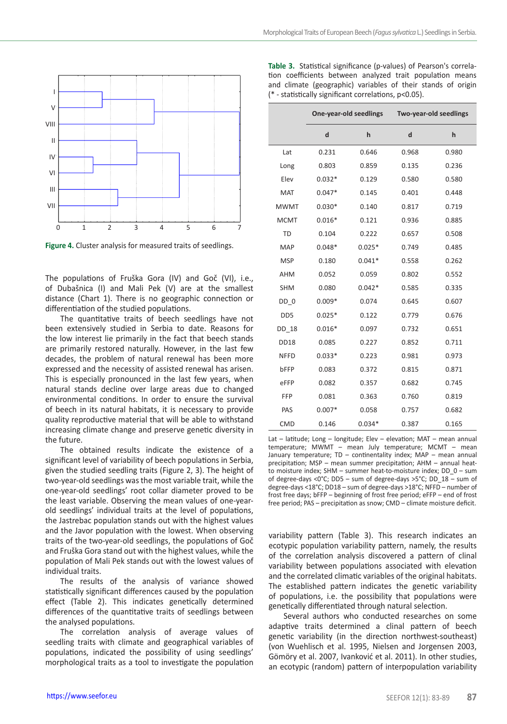

**Figure 4.** Cluster analysis for measured traits of seedlings.

The populations of Fruška Gora (IV) and Goč (VI), i.e., of Dubašnica (I) and Mali Pek (V) are at the smallest distance (Chart 1). There is no geographic connection or differentiation of the studied populations.

The quantitative traits of beech seedlings have not been extensively studied in Serbia to date. Reasons for the low interest lie primarily in the fact that beech stands are primarily restored naturally. However, in the last few decades, the problem of natural renewal has been more expressed and the necessity of assisted renewal has arisen. This is especially pronounced in the last few years, when natural stands decline over large areas due to changed environmental conditions. In order to ensure the survival of beech in its natural habitats, it is necessary to provide quality reproductive material that will be able to withstand increasing climate change and preserve genetic diversity in the future.

The obtained results indicate the existence of a significant level of variability of beech populations in Serbia, given the studied seedling traits (Figure 2, 3). The height of two-year-old seedlings was the most variable trait, while the one-year-old seedlings' root collar diameter proved to be the least variable. Observing the mean values of one-yearold seedlings' individual traits at the level of populations, the Jastrebac population stands out with the highest values and the Javor population with the lowest. When observing traits of the two-year-old seedlings, the populations of Goč and Fruška Gora stand out with the highest values, while the population of Mali Pek stands out with the lowest values of individual traits.

The results of the analysis of variance showed statistically significant differences caused by the population effect (Table 2). This indicates genetically determined differences of the quantitative traits of seedlings between the analysed populations.

The correlation analysis of average values of seedling traits with climate and geographical variables of populations, indicated the possibility of using seedlings' morphological traits as a tool to investigate the population

| <b>Table 3.</b> Statistical significance (p-values) of Pearson's correla-                                             |  |  |  |  |  |
|-----------------------------------------------------------------------------------------------------------------------|--|--|--|--|--|
| tion coefficients between analyzed trait population means                                                             |  |  |  |  |  |
| and climate (geographic) variables of their stands of origin<br>(* - statistically significant correlations, p<0.05). |  |  |  |  |  |
|                                                                                                                       |  |  |  |  |  |

|                 | One-year-old seedlings |          | Two-year-old seedlings |       |  |
|-----------------|------------------------|----------|------------------------|-------|--|
|                 | d                      | h        | d                      | h     |  |
| Lat             | 0.231                  | 0.646    | 0.968                  | 0.980 |  |
| Long            | 0.803                  | 0.859    | 0.135                  | 0.236 |  |
| Elev            | $0.032*$               | 0.129    | 0.580                  | 0.580 |  |
| MAT             | $0.047*$               | 0.145    | 0.401                  | 0.448 |  |
| <b>MWMT</b>     | $0.030*$               | 0.140    | 0.817                  | 0.719 |  |
| <b>MCMT</b>     | $0.016*$               | 0.121    | 0.936                  | 0.885 |  |
| <b>TD</b>       | 0.104                  | 0.222    | 0.657                  | 0.508 |  |
| MAP             | $0.048*$               | $0.025*$ | 0.749                  | 0.485 |  |
| <b>MSP</b>      | 0.180                  | $0.041*$ | 0.558                  | 0.262 |  |
| <b>AHM</b>      | 0.052                  | 0.059    | 0.802                  | 0.552 |  |
| <b>SHM</b>      | 0.080                  | $0.042*$ | 0.585                  | 0.335 |  |
| $DD_0$          | $0.009*$               | 0.074    | 0.645                  | 0.607 |  |
| D <sub>D5</sub> | $0.025*$               | 0.122    | 0.779                  | 0.676 |  |
| DD 18           | $0.016*$               | 0.097    | 0.732                  | 0.651 |  |
| <b>DD18</b>     | 0.085                  | 0.227    | 0.852                  | 0.711 |  |
| <b>NFFD</b>     | $0.033*$               | 0.223    | 0.981                  | 0.973 |  |
| bFFP            | 0.083                  | 0.372    | 0.815                  | 0.871 |  |
| eFFP            | 0.082                  | 0.357    | 0.682                  | 0.745 |  |
| FFP             | 0.081                  | 0.363    | 0.760                  | 0.819 |  |
| PAS             | $0.007*$               | 0.058    | 0.757                  | 0.682 |  |
| CMD             | 0.146                  | $0.034*$ | 0.387                  | 0.165 |  |

Lat – latitude; Long – longitude; Elev – elevation; MAT – mean annual temperature; MWMT – mean July temperature; MCMT – mean January temperature; TD – continentality index; MAP – mean annual precipitation; MSP – mean summer precipitation; AHM – annual heatto moisture index; SHM – summer heat-to-moisture index; DD\_0 – sum of degree-days <0°C; DD5 – sum of degree-days >5°C; DD\_18 – sum of degree-days <18°C; DD18 – sum of degree-days >18°C; NFFD – number of frost free days; bFFP – beginning of frost free period; eFFP – end of frost free period; PAS – precipitation as snow; CMD – climate moisture deficit.

variability pattern (Table 3). This research indicates an ecotypic population variability pattern, namely, the results of the correlation analysis discovered a pattern of clinal variability between populations associated with elevation and the correlated climatic variables of the original habitats. The established pattern indicates the genetic variability of populations, i.e. the possibility that populations were genetically differentiated through natural selection.

Several authors who conducted researches on some adaptive traits determined a clinal pattern of beech genetic variability (in the direction northwest-southeast) (von Wuehlisch et al. 1995, Nielsen and Jorgensen 2003, Gömöry et al. 2007, Ivanković et al. 2011). In other studies, an ecotypic (random) pattern of interpopulation variability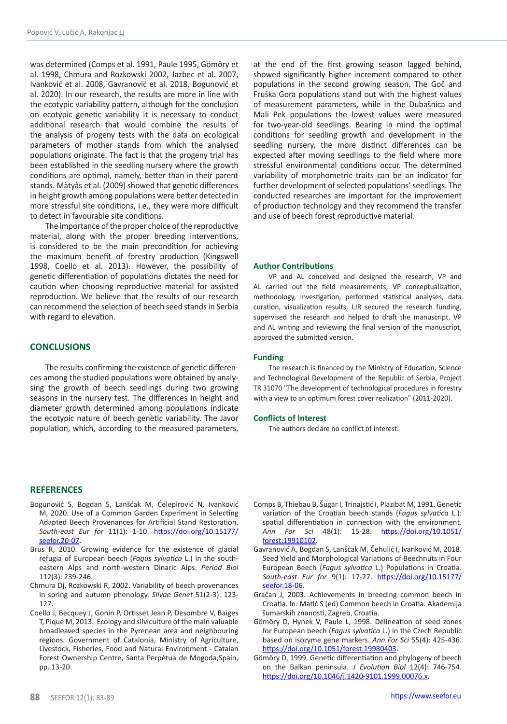was determined (Comps et al. 1991, Paule 1995, Gömöry et al. 1998, Chmura and Rozkowski 2002, Jazbec et al. 2007, Ivanković et al. 2008, Gavranović et al. 2018, Bogunović et al. 2020). In our research, the results are more in line with the ecotypic variability pattern, although for the conclusion on ecotypic genetic variability it is necessary to conduct additional research that would combine the results of the analysis of progeny tests with the data on ecological parameters of mother stands from which the analysed populations originate. The fact is that the progeny trial has been established in the seedling nursery where the growth conditions are optimal, namely, better than in their parent stands. Màtyàs et al. (2009) showed that genetic differences in height growth among populations were better detected in more stressful site conditions, i.e., they were more difficult to detect in favourable site conditions.

The importance of the proper choice of the reproductive material, along with the proper breeding interventions, is considered to be the main precondition for achieving the maximum benefit of forestry production (Kingswell 1998, Coello et al. 2013). However, the possibility of genetic differentiation of populations dictates the need for caution when choosing reproductive material for assisted reproduction. We believe that the results of our research can recommend the selection of beech seed stands in Serbia with regard to elevation.

## **CONCLUSIONS**

The results confirming the existence of genetic differences among the studied populations were obtained by analysing the growth of beech seedlings during two growing seasons in the nursery test. The differences in height and diameter growth determined among populations indicate the ecotypic nature of beech genetic variability. The Javor population, which, according to the measured parameters,

# **REFERENCES**

- Bogunović S, Bogdan S, Lanšćak M, Ćelepirović N, Ivanković M, 2020. Use of a Common Garden Experiment in Selecting Adapted Beech Provenances for Artificial Stand Restoration. *South-east Eur for* 11(1): 1-10. [https://doi.org/10.15177/](https://doi.org/10.15177/seefor.20-07) [seefor.20-07.](https://doi.org/10.15177/seefor.20-07)
- Brus R, 2010. Growing evidence for the existence of glacial refugia of European beech (*Fagus sylvatica* L.) in the southeastern Alps and north-western Dinaric Alps. *Period Biol* 112(3): 239-246.
- Chmura Dj, Rozkowski R, 2002. Variability of beech provenances in spring and autumn phenology. *Silvae Genet* 51(2-3): 123- 127.
- Coello J, Becquey J, Gonin P, Ortisset Jean P, Desombre V, Baiges T, Piqué M, 2013. Ecology and silviculture of the main valuable broadleaved species in the Pyrenean area and neighbouring regions. Government of Catalonia, Ministry of Agriculture, Livestock, Fisheries, Food and Natural Environment - Catalan Forest Ownership Centre, Santa Perpètua de Mogoda,Spain, pp. 13-20.

at the end of the first growing season lagged behind, showed significantly higher increment compared to other populations in the second growing season. The Goč and Fruška Gora populations stand out with the highest values of measurement parameters, while in the Dubašnica and Mali Pek populations the lowest values were measured for two-year-old seedlings. Bearing in mind the optimal conditions for seedling growth and development in the seedling nursery, the more distinct differences can be expected after moving seedlings to the field where more stressful environmental conditions occur. The determined variability of morphometric traits can be an indicator for further development of selected populations' seedlings. The conducted researches are important for the improvement of production technology and they recommend the transfer and use of beech forest reproductive material.

#### **Author Contributions**

VP and AL conceived and designed the research, VP and AL carried out the field measurements, VP conceptualization, methodology, investigation, performed statistical analyses, data curation, visualization results, LJR secured the research funding, supervised the research and helped to draft the manuscript, VP and AL writing and reviewing the final version of the manuscript, approved the submitted version.

#### **Funding**

The research is financed by the Ministry of Education, Science and Technological Development of the Republic of Serbia, Project TR 31070 "The development of technological procedures in forestry with a view to an optimum forest cover realization" (2011-2020).

#### **Conflicts of Interest**

The authors declare no conflict of interest.

- Comps B, Thiebau B, Šugar I, Trinajstić I, Plazibat M, 1991. Genetic variation of the Croatian beech stands (*Fagus sylvatica* L.): spatial differentiation in connection with the environment. *Ann For Sci* 48(1): 15-28. [https://doi.org/10.1051/](https://doi.org/10.1051/forest:19910102) [forest:19910102.](https://doi.org/10.1051/forest:19910102)
- Gavranović A, Bogdan S, Lanšćak M, Čehulić I, Ivanković M, 2018. Seed Yield and Morphological Variations of Beechnuts in Four European Beech (*Fagus sylvatica* L.) Populations in Croatia. *South-east Eur for* 9(1): 17-27. [https://doi.org/10.15177/](https://doi.org/10.15177/seefor.18-06) [seefor.18-06](https://doi.org/10.15177/seefor.18-06).
- Gračan J, 2003. Achievements in breeding common beech in Croatia. In: Matić S (ed) Common beech in Croatia. Akademija šumarskih znanosti, Zagreb, Croatia.
- Gömöry D, Hynek V, Paule L, 1998. Delineation of seed zones for European beech (*Fagus sylvatica* L.) in the Czech Republic based on isozyme gene markers. *Ann For Sci* 55(4): 425-436. <https://doi.org/10.1051/forest:19980403>.
- Gömöry D, 1999. Genetic differentiation and phylogeny of beech on the Balkan peninsula. *J Evolution Biol* 12(4): 746-754. [https://doi.org/10.1046/j.1420-9101.1999.00076.x.](https://doi.org/10.1046/j.1420-9101.1999.00076.x)